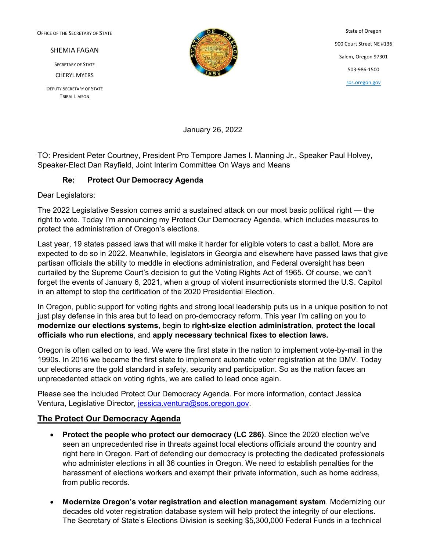OFFICE OF THE SECRETARY OF STATE

SHEMIA FAGAN

SECRETARY OF STATE CHERYL MYERS

DEPUTY SECRETARY OF STATE TRIBAL LIAISON



State of Oregon 900 Court Street NE #136 Salem, Oregon 97301 503-986-1500 [sos.oregon.gov](http://sos.oregon.gov/)

January 26, 2022

TO: President Peter Courtney, President Pro Tempore James I. Manning Jr., Speaker Paul Holvey, Speaker-Elect Dan Rayfield, Joint Interim Committee On Ways and Means

## **Re: Protect Our Democracy Agenda**

Dear Legislators:

The 2022 Legislative Session comes amid a sustained attack on our most basic political right — the right to vote. Today I'm announcing my Protect Our Democracy Agenda, which includes measures to protect the administration of Oregon's elections.

Last year, 19 states passed laws that will make it harder for eligible voters to cast a ballot. More are expected to do so in 2022. Meanwhile, legislators in Georgia and elsewhere have passed laws that give partisan officials the ability to meddle in elections administration, and Federal oversight has been curtailed by the Supreme Court's decision to gut the Voting Rights Act of 1965. Of course, we can't forget the events of January 6, 2021, when a group of violent insurrectionists stormed the U.S. Capitol in an attempt to stop the certification of the 2020 Presidential Election.

In Oregon, public support for voting rights and strong local leadership puts us in a unique position to not just play defense in this area but to lead on pro-democracy reform. This year I'm calling on you to **modernize our elections systems**, begin to **right-size election administration**, **protect the local officials who run elections**, and **apply necessary technical fixes to election laws.** 

Oregon is often called on to lead. We were the first state in the nation to implement vote-by-mail in the 1990s. In 2016 we became the first state to implement automatic voter registration at the DMV. Today our elections are the gold standard in safety, security and participation. So as the nation faces an unprecedented attack on voting rights, we are called to lead once again.

Please see the included Protect Our Democracy Agenda. For more information, contact Jessica Ventura, Legislative Director, [jessica.ventura@sos.oregon.gov.](mailto:jessica.ventura@sos.oregon.gov)

## **The Protect Our Democracy Agenda**

- **Protect the people who protect our democracy (LC 286)**. Since the 2020 election we've seen an unprecedented rise in threats against local elections officials around the country and right here in Oregon. Part of defending our democracy is protecting the dedicated professionals who administer elections in all 36 counties in Oregon. We need to establish penalties for the harassment of elections workers and exempt their private information, such as home address, from public records.
- **Modernize Oregon's voter registration and election management system**. Modernizing our decades old voter registration database system will help protect the integrity of our elections. The Secretary of State's Elections Division is seeking \$5,300,000 Federal Funds in a technical